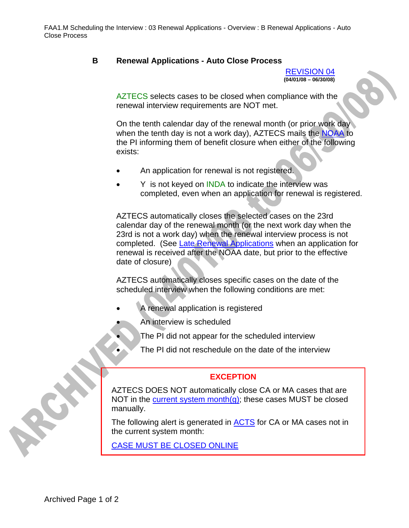## **B Renewal Applications - Auto Close Process**

REVISION 04 **(04/01/08 – 06/30/08)** 

AZTECS selects cases to be closed when compliance with the renewal interview requirements are NOT met.

On the tenth calendar day of the renewal month (or prior work day when the tenth day is not a work day), AZTECS mails the NOAA to the PI informing them of benefit closure when either of the following exists:

- An application for renewal is not registered.
- Y is not keyed on INDA to indicate the interview was completed, even when an application for renewal is registered.

AZTECS automatically closes the selected cases on the 23rd calendar day of the renewal month (or the next work day when the 23rd is not a work day) when the renewal interview process is not completed. (See Late Renewal Applications when an application for renewal is received after the NOAA date, but prior to the effective date of closure)

AZTECS automatically closes specific cases on the date of the scheduled interview when the following conditions are met:

- A renewal application is registered
	- An interview is scheduled
		- The PI did not appear for the scheduled interview
		- The PI did not reschedule on the date of the interview

## **EXCEPTION**

AZTECS DOES NOT automatically close CA or MA cases that are NOT in the current system month $(g)$ ; these cases MUST be closed manually.

The following alert is generated in **ACTS** for CA or MA cases not in the current system month:

CASE MUST BE CLOSED ONLINE